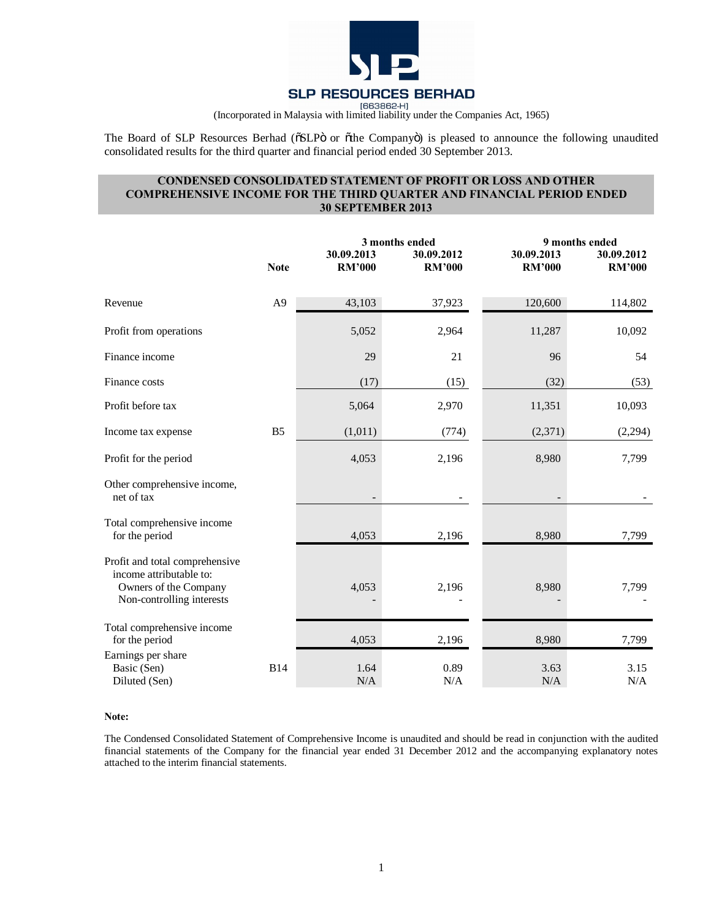

The Board of SLP Resources Berhad (OSLPÖ or Othe CompanyÖ) is pleased to announce the following unaudited consolidated results for the third quarter and financial period ended 30 September 2013.

# **CONDENSED CONSOLIDATED STATEMENT OF PROFIT OR LOSS AND OTHER COMPREHENSIVE INCOME FOR THE THIRD QUARTER AND FINANCIAL PERIOD ENDED 30 SEPTEMBER 2013**

|                                                                                                                 | <b>Note</b>    | 30.09.2013<br><b>RM'000</b> | 3 months ended<br>30.09.2012<br><b>RM'000</b> | 30.09.2013<br><b>RM'000</b> | 9 months ended<br>30.09.2012<br><b>RM'000</b> |
|-----------------------------------------------------------------------------------------------------------------|----------------|-----------------------------|-----------------------------------------------|-----------------------------|-----------------------------------------------|
| Revenue                                                                                                         | A <sub>9</sub> | 43,103                      | 37,923                                        | 120,600                     | 114,802                                       |
| Profit from operations                                                                                          |                | 5,052                       | 2,964                                         | 11,287                      | 10,092                                        |
| Finance income                                                                                                  |                | 29                          | 21                                            | 96                          | 54                                            |
| Finance costs                                                                                                   |                | (17)                        | (15)                                          | (32)                        | (53)                                          |
| Profit before tax                                                                                               |                | 5,064                       | 2,970                                         | 11,351                      | 10,093                                        |
| Income tax expense                                                                                              | B <sub>5</sub> | (1,011)                     | (774)                                         | (2,371)                     | (2,294)                                       |
| Profit for the period                                                                                           |                | 4,053                       | 2,196                                         | 8,980                       | 7,799                                         |
| Other comprehensive income,<br>net of tax                                                                       |                |                             |                                               |                             |                                               |
| Total comprehensive income<br>for the period                                                                    |                | 4,053                       | 2,196                                         | 8,980                       | 7,799                                         |
| Profit and total comprehensive<br>income attributable to:<br>Owners of the Company<br>Non-controlling interests |                | 4,053                       | 2,196                                         | 8,980                       | 7,799                                         |
| Total comprehensive income<br>for the period                                                                    |                | 4,053                       | 2,196                                         | 8,980                       | 7,799                                         |
| Earnings per share<br>Basic (Sen)<br>Diluted (Sen)                                                              | <b>B14</b>     | 1.64<br>N/A                 | 0.89<br>N/A                                   | 3.63<br>N/A                 | 3.15<br>N/A                                   |

#### **Note:**

The Condensed Consolidated Statement of Comprehensive Income is unaudited and should be read in conjunction with the audited financial statements of the Company for the financial year ended 31 December 2012 and the accompanying explanatory notes attached to the interim financial statements.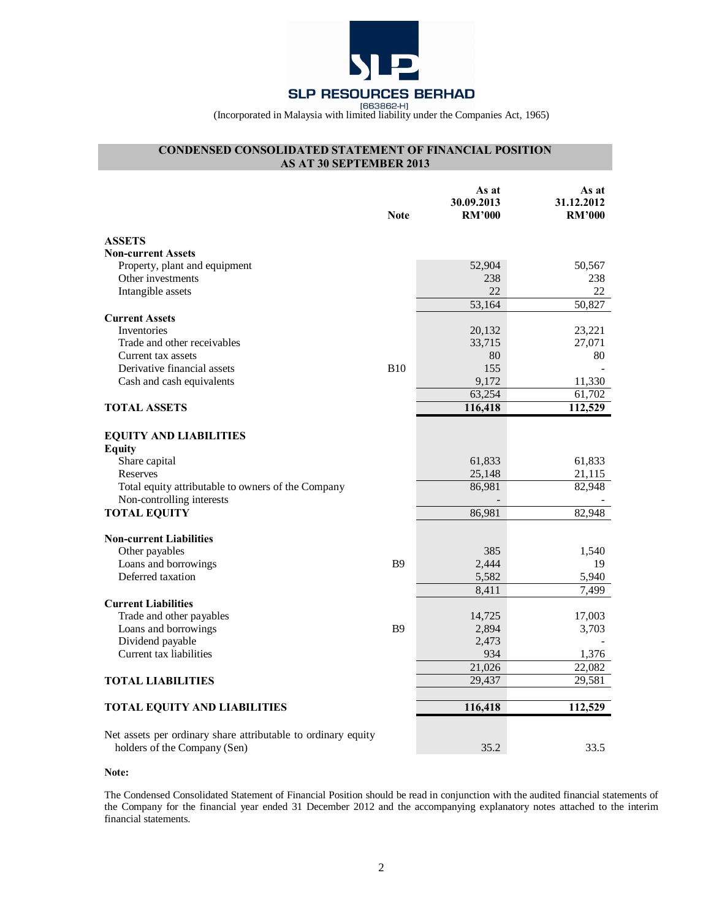

# **CONDENSED CONSOLIDATED STATEMENT OF FINANCIAL POSITION AS AT 30 SEPTEMBER 2013**

|                                                                                               | <b>Note</b> | As at<br>30.09.2013<br><b>RM'000</b> | As at<br>31.12.2012<br><b>RM'000</b> |
|-----------------------------------------------------------------------------------------------|-------------|--------------------------------------|--------------------------------------|
| <b>ASSETS</b>                                                                                 |             |                                      |                                      |
| <b>Non-current Assets</b>                                                                     |             |                                      |                                      |
| Property, plant and equipment                                                                 |             | 52,904                               | 50,567                               |
| Other investments                                                                             |             | 238                                  | 238                                  |
| Intangible assets                                                                             |             | 22                                   | 22                                   |
|                                                                                               |             | 53,164                               | 50,827                               |
| <b>Current Assets</b>                                                                         |             |                                      |                                      |
| Inventories                                                                                   |             | 20,132                               | 23,221                               |
| Trade and other receivables                                                                   |             | 33,715                               | 27,071                               |
| Current tax assets                                                                            |             | 80                                   | 80                                   |
| Derivative financial assets                                                                   | <b>B10</b>  | 155                                  |                                      |
| Cash and cash equivalents                                                                     |             | 9,172                                | 11,330                               |
|                                                                                               |             | 63,254                               | 61,702                               |
| <b>TOTAL ASSETS</b>                                                                           |             | 116,418                              | 112,529                              |
| <b>EQUITY AND LIABILITIES</b><br><b>Equity</b>                                                |             |                                      |                                      |
| Share capital                                                                                 |             | 61,833                               | 61,833                               |
| Reserves                                                                                      |             | 25,148                               | 21,115                               |
| Total equity attributable to owners of the Company                                            |             | 86,981                               | 82,948                               |
| Non-controlling interests                                                                     |             |                                      |                                      |
| <b>TOTAL EQUITY</b>                                                                           |             | 86,981                               | 82,948                               |
|                                                                                               |             |                                      |                                      |
| <b>Non-current Liabilities</b>                                                                |             |                                      |                                      |
| Other payables                                                                                |             | 385                                  | 1,540                                |
| Loans and borrowings                                                                          | <b>B9</b>   | 2,444                                | 19                                   |
| Deferred taxation                                                                             |             | 5,582                                | 5,940                                |
|                                                                                               |             | 8,411                                | 7,499                                |
| <b>Current Liabilities</b>                                                                    |             |                                      |                                      |
| Trade and other payables                                                                      |             | 14,725                               | 17,003                               |
| Loans and borrowings                                                                          | <b>B9</b>   | 2,894                                | 3,703                                |
| Dividend payable                                                                              |             | 2,473                                |                                      |
| Current tax liabilities                                                                       |             | 934                                  | 1,376                                |
|                                                                                               |             | 21,026                               | 22,082                               |
| <b>TOTAL LIABILITIES</b>                                                                      |             | 29,437                               | 29,581                               |
| <b>TOTAL EQUITY AND LIABILITIES</b>                                                           |             | 116,418                              | 112,529                              |
| Net assets per ordinary share attributable to ordinary equity<br>holders of the Company (Sen) |             | 35.2                                 | 33.5                                 |

#### **Note:**

The Condensed Consolidated Statement of Financial Position should be read in conjunction with the audited financial statements of the Company for the financial year ended 31 December 2012 and the accompanying explanatory notes attached to the interim financial statements.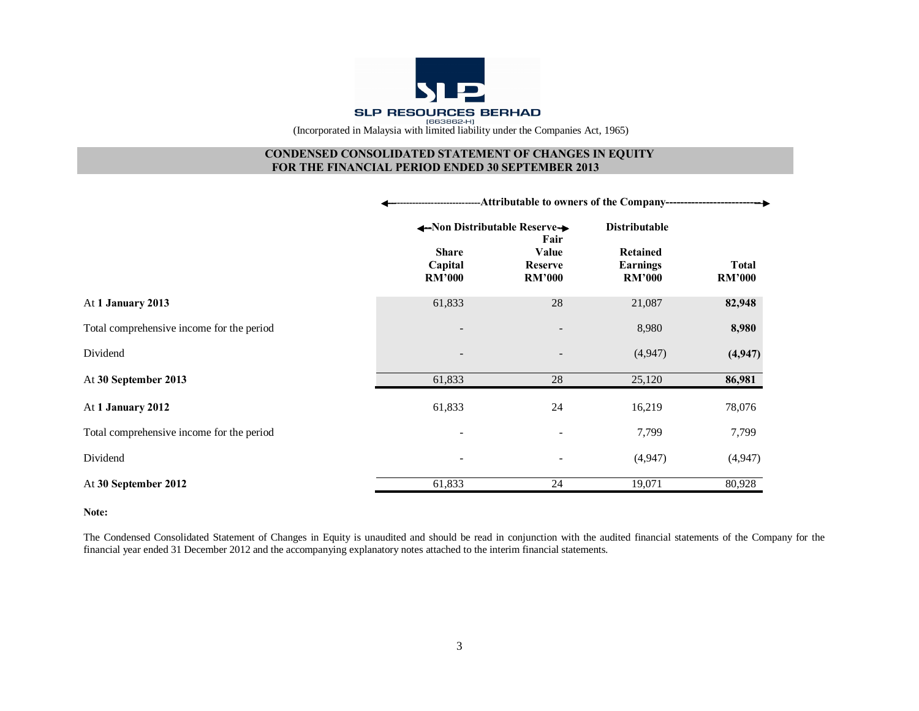

# **CONDENSED CONSOLIDATED STATEMENT OF CHANGES IN EQUITY FOR THE FINANCIAL PERIOD ENDED 30 SEPTEMBER 2013**

|                                           |                          | -Attributable to owners of the Company---    |                                  |                               |  |  |
|-------------------------------------------|--------------------------|----------------------------------------------|----------------------------------|-------------------------------|--|--|
|                                           | <b>Share</b>             | ←Non Distributable Reserve→<br>Fair<br>Value |                                  |                               |  |  |
|                                           | Capital<br><b>RM'000</b> | <b>Reserve</b><br><b>RM'000</b>              | <b>Earnings</b><br><b>RM'000</b> | <b>Total</b><br><b>RM'000</b> |  |  |
| At 1 January 2013                         | 61,833                   | 28                                           | 21,087                           | 82,948                        |  |  |
| Total comprehensive income for the period |                          |                                              | 8,980                            | 8,980                         |  |  |
| Dividend                                  |                          |                                              | (4,947)                          | (4, 947)                      |  |  |
| At 30 September 2013                      | 61,833                   | 28                                           | 25,120                           | 86,981                        |  |  |
| At 1 January 2012                         | 61,833                   | 24                                           | 16,219                           | 78,076                        |  |  |
| Total comprehensive income for the period |                          | $\overline{\phantom{a}}$                     | 7,799                            | 7,799                         |  |  |
| Dividend                                  | ۰                        |                                              | (4,947)                          | (4,947)                       |  |  |
| At 30 September 2012                      | 61,833                   | 24                                           | 19,071                           | 80,928                        |  |  |

#### **Note:**

The Condensed Consolidated Statement of Changes in Equity is unaudited and should be read in conjunction with the audited financial statements of the Company for the financial year ended 31 December 2012 and the accompanying explanatory notes attached to the interim financial statements.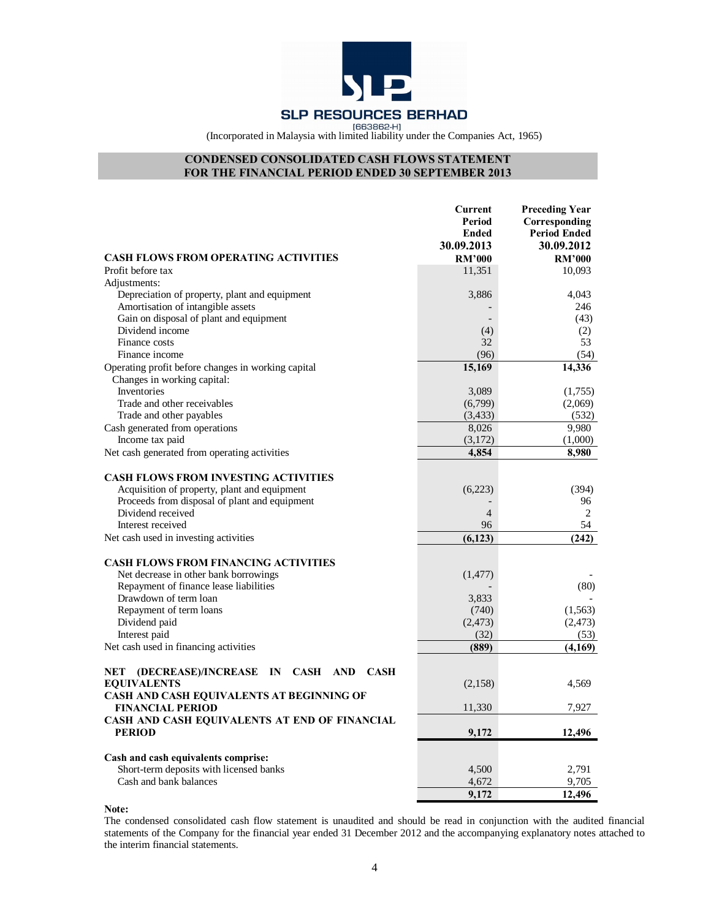

# **CONDENSED CONSOLIDATED CASH FLOWS STATEMENT FOR THE FINANCIAL PERIOD ENDED 30 SEPTEMBER 2013**

|                                                                                   | <b>Current</b><br>Period<br>Ended<br>30.09.2013 | <b>Preceding Year</b><br>Corresponding<br><b>Period Ended</b><br>30.09.2012 |
|-----------------------------------------------------------------------------------|-------------------------------------------------|-----------------------------------------------------------------------------|
| <b>CASH FLOWS FROM OPERATING ACTIVITIES</b>                                       | <b>RM'000</b>                                   | <b>RM'000</b>                                                               |
| Profit before tax                                                                 | 11,351                                          | 10,093                                                                      |
| Adjustments:                                                                      |                                                 |                                                                             |
| Depreciation of property, plant and equipment                                     | 3,886                                           | 4,043                                                                       |
| Amortisation of intangible assets                                                 |                                                 | 246                                                                         |
| Gain on disposal of plant and equipment                                           |                                                 | (43)                                                                        |
| Dividend income                                                                   | (4)                                             | (2)                                                                         |
| Finance costs<br>Finance income                                                   | 32                                              | 53                                                                          |
|                                                                                   | (96)<br>15,169                                  | (54)                                                                        |
| Operating profit before changes in working capital<br>Changes in working capital: |                                                 | 14,336                                                                      |
| Inventories<br>Trade and other receivables                                        | 3,089                                           | (1,755)                                                                     |
| Trade and other payables                                                          | (6,799)<br>(3, 433)                             | (2,069)<br>(532)                                                            |
| Cash generated from operations                                                    | 8,026                                           | 9,980                                                                       |
| Income tax paid                                                                   | (3,172)                                         | (1,000)                                                                     |
| Net cash generated from operating activities                                      | 4,854                                           | 8,980                                                                       |
|                                                                                   |                                                 |                                                                             |
| <b>CASH FLOWS FROM INVESTING ACTIVITIES</b>                                       |                                                 |                                                                             |
| Acquisition of property, plant and equipment                                      | (6,223)                                         | (394)                                                                       |
| Proceeds from disposal of plant and equipment                                     |                                                 | 96                                                                          |
| Dividend received                                                                 | $\overline{4}$                                  | 2                                                                           |
| Interest received                                                                 | 96                                              | 54                                                                          |
| Net cash used in investing activities                                             | (6, 123)                                        | (242)                                                                       |
| <b>CASH FLOWS FROM FINANCING ACTIVITIES</b>                                       |                                                 |                                                                             |
| Net decrease in other bank borrowings                                             | (1, 477)                                        |                                                                             |
| Repayment of finance lease liabilities                                            |                                                 | (80)                                                                        |
| Drawdown of term loan                                                             | 3,833                                           |                                                                             |
| Repayment of term loans                                                           | (740)                                           | (1, 563)                                                                    |
| Dividend paid                                                                     | (2, 473)                                        | (2, 473)                                                                    |
| Interest paid                                                                     | (32)                                            | (53)                                                                        |
| Net cash used in financing activities                                             | (889)                                           | (4,169)                                                                     |
| AND CASH<br>NET<br>(DECREASE)/INCREASE<br>IN<br><b>CASH</b>                       |                                                 |                                                                             |
| <b>EQUIVALENTS</b>                                                                | (2,158)                                         | 4,569                                                                       |
| CASH AND CASH EQUIVALENTS AT BEGINNING OF<br><b>FINANCIAL PERIOD</b>              | 11,330                                          | 7,927                                                                       |
| CASH AND CASH EQUIVALENTS AT END OF FINANCIAL                                     |                                                 |                                                                             |
| <b>PERIOD</b>                                                                     | 9,172                                           | 12,496                                                                      |
| Cash and cash equivalents comprise:                                               |                                                 |                                                                             |
| Short-term deposits with licensed banks                                           | 4,500                                           | 2,791                                                                       |
| Cash and bank balances                                                            | 4,672                                           | 9,705                                                                       |
|                                                                                   | 9,172                                           | 12,496                                                                      |

**Note:** 

The condensed consolidated cash flow statement is unaudited and should be read in conjunction with the audited financial statements of the Company for the financial year ended 31 December 2012 and the accompanying explanatory notes attached to the interim financial statements.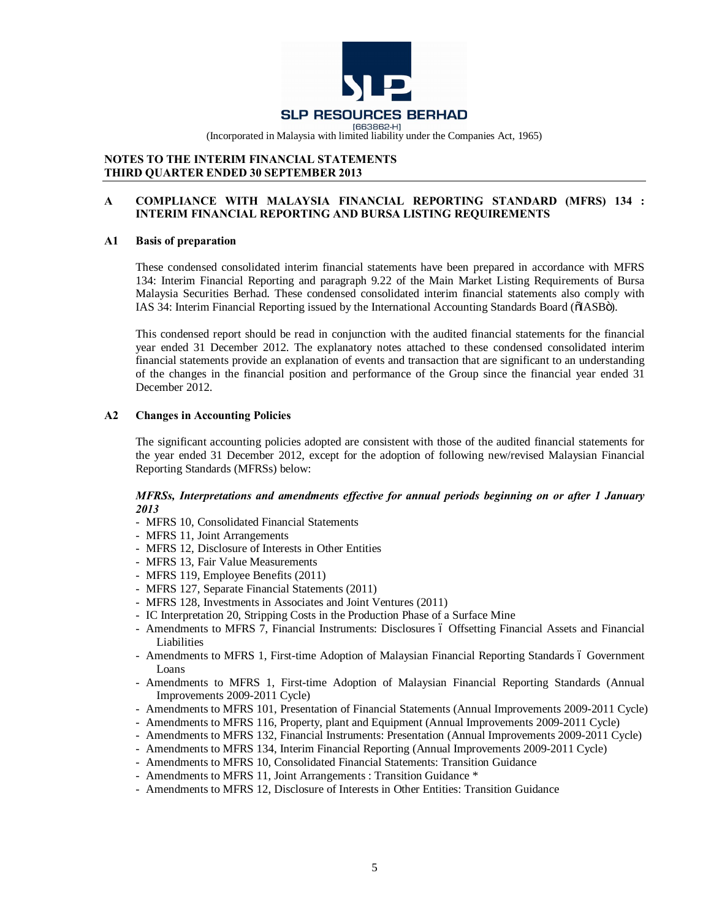

# **NOTES TO THE INTERIM FINANCIAL STATEMENTS THIRD QUARTER ENDED 30 SEPTEMBER 2013**

# **A COMPLIANCE WITH MALAYSIA FINANCIAL REPORTING STANDARD (MFRS) 134 : INTERIM FINANCIAL REPORTING AND BURSA LISTING REQUIREMENTS**

# **A1 Basis of preparation**

These condensed consolidated interim financial statements have been prepared in accordance with MFRS 134: Interim Financial Reporting and paragraph 9.22 of the Main Market Listing Requirements of Bursa Malaysia Securities Berhad. These condensed consolidated interim financial statements also comply with IAS 34: Interim Financial Reporting issued by the International Accounting Standards Board ( $\delta$ IASB $\delta$ ).

This condensed report should be read in conjunction with the audited financial statements for the financial year ended 31 December 2012. The explanatory notes attached to these condensed consolidated interim financial statements provide an explanation of events and transaction that are significant to an understanding of the changes in the financial position and performance of the Group since the financial year ended 31 December 2012.

# **A2 Changes in Accounting Policies**

The significant accounting policies adopted are consistent with those of the audited financial statements for the year ended 31 December 2012, except for the adoption of following new/revised Malaysian Financial Reporting Standards (MFRSs) below:

# *MFRSs, Interpretations and amendments effective for annual periods beginning on or after 1 January 2013*

- MFRS 10, Consolidated Financial Statements
- MFRS 11, Joint Arrangements
- MFRS 12, Disclosure of Interests in Other Entities
- MFRS 13, Fair Value Measurements
- MFRS 119, Employee Benefits (2011)
- MFRS 127, Separate Financial Statements (2011)
- MFRS 128, Investments in Associates and Joint Ventures (2011)
- IC Interpretation 20, Stripping Costs in the Production Phase of a Surface Mine
- Amendments to MFRS 7, Financial Instruments: Disclosures 6 Offsetting Financial Assets and Financial **Liabilities**
- Amendments to MFRS 1, First-time Adoption of Malaysian Financial Reporting Standards 6 Government Loans
- Amendments to MFRS 1, First-time Adoption of Malaysian Financial Reporting Standards (Annual Improvements 2009-2011 Cycle)
- Amendments to MFRS 101, Presentation of Financial Statements (Annual Improvements 2009-2011 Cycle)
- Amendments to MFRS 116, Property, plant and Equipment (Annual Improvements 2009-2011 Cycle)
- Amendments to MFRS 132, Financial Instruments: Presentation (Annual Improvements 2009-2011 Cycle)
- Amendments to MFRS 134, Interim Financial Reporting (Annual Improvements 2009-2011 Cycle)
- Amendments to MFRS 10, Consolidated Financial Statements: Transition Guidance
- Amendments to MFRS 11, Joint Arrangements : Transition Guidance \*
- Amendments to MFRS 12, Disclosure of Interests in Other Entities: Transition Guidance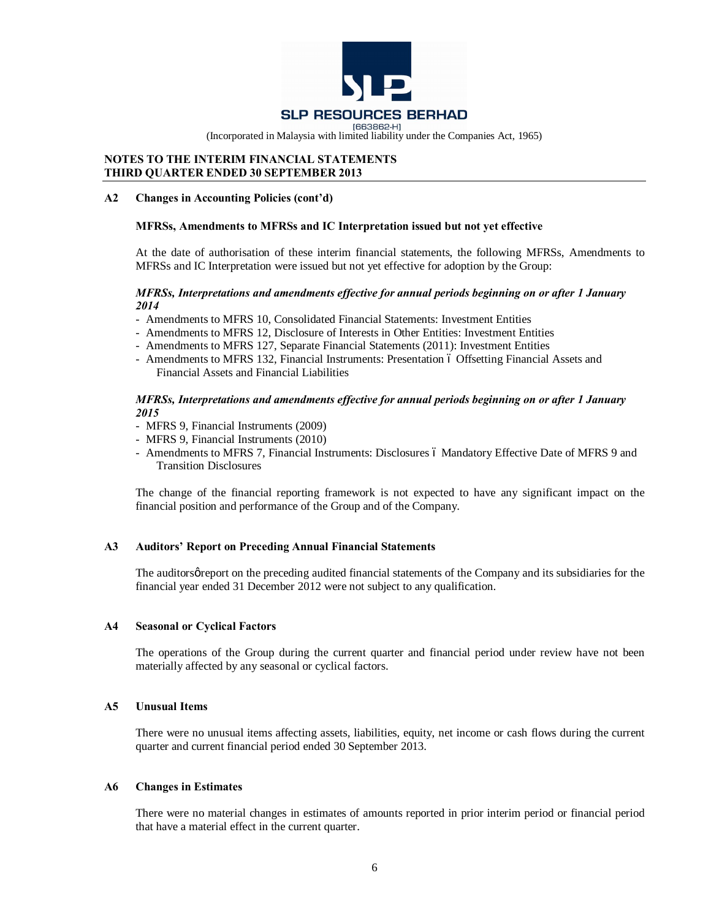

# **NOTES TO THE INTERIM FINANCIAL STATEMENTS THIRD QUARTER ENDED 30 SEPTEMBER 2013**

### **A2 Changes in Accounting Policies (cont'd)**

# **MFRSs, Amendments to MFRSs and IC Interpretation issued but not yet effective**

At the date of authorisation of these interim financial statements, the following MFRSs, Amendments to MFRSs and IC Interpretation were issued but not yet effective for adoption by the Group:

#### *MFRSs, Interpretations and amendments effective for annual periods beginning on or after 1 January 2014*

- Amendments to MFRS 10, Consolidated Financial Statements: Investment Entities
- Amendments to MFRS 12, Disclosure of Interests in Other Entities: Investment Entities
- Amendments to MFRS 127, Separate Financial Statements (2011): Investment Entities
- Amendments to MFRS 132, Financial Instruments: Presentation 6 Offsetting Financial Assets and Financial Assets and Financial Liabilities

### *MFRSs, Interpretations and amendments effective for annual periods beginning on or after 1 January 2015*

- MFRS 9, Financial Instruments (2009)
- MFRS 9, Financial Instruments (2010)
- Amendments to MFRS 7, Financial Instruments: Disclosures 6 Mandatory Effective Date of MFRS 9 and Transition Disclosures

The change of the financial reporting framework is not expected to have any significant impact on the financial position and performance of the Group and of the Company.

#### **A3 Auditors' Report on Preceding Annual Financial Statements**

The auditors greport on the preceding audited financial statements of the Company and its subsidiaries for the financial year ended 31 December 2012 were not subject to any qualification.

#### **A4 Seasonal or Cyclical Factors**

The operations of the Group during the current quarter and financial period under review have not been materially affected by any seasonal or cyclical factors.

#### **A5 Unusual Items**

There were no unusual items affecting assets, liabilities, equity, net income or cash flows during the current quarter and current financial period ended 30 September 2013.

#### **A6 Changes in Estimates**

There were no material changes in estimates of amounts reported in prior interim period or financial period that have a material effect in the current quarter.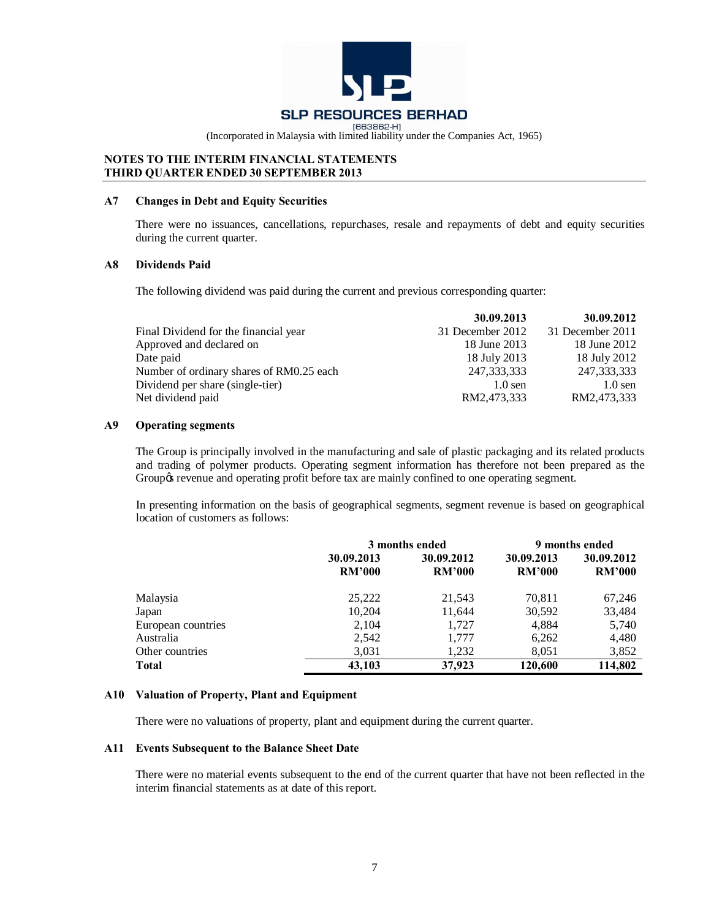![](_page_6_Picture_0.jpeg)

# **NOTES TO THE INTERIM FINANCIAL STATEMENTS THIRD QUARTER ENDED 30 SEPTEMBER 2013**

#### **A7 Changes in Debt and Equity Securities**

There were no issuances, cancellations, repurchases, resale and repayments of debt and equity securities during the current quarter.

# **A8 Dividends Paid**

The following dividend was paid during the current and previous corresponding quarter:

|                                          | 30.09.2013       | 30.09.2012       |
|------------------------------------------|------------------|------------------|
| Final Dividend for the financial year    | 31 December 2012 | 31 December 2011 |
| Approved and declared on                 | 18 June 2013     | 18 June 2012     |
| Date paid                                | 18 July 2013     | 18 July 2012     |
| Number of ordinary shares of RM0.25 each | 247, 333, 333    | 247,333,333      |
| Dividend per share (single-tier)         | $1.0$ sen        | $1.0$ sen        |
| Net dividend paid                        | RM2,473,333      | RM2,473,333      |

#### **A9 Operating segments**

The Group is principally involved in the manufacturing and sale of plastic packaging and its related products and trading of polymer products. Operating segment information has therefore not been prepared as the Group is revenue and operating profit before tax are mainly confined to one operating segment.

In presenting information on the basis of geographical segments, segment revenue is based on geographical location of customers as follows:

|                    | 3 months ended              |                             | 9 months ended              |                             |
|--------------------|-----------------------------|-----------------------------|-----------------------------|-----------------------------|
|                    | 30.09.2013<br><b>RM'000</b> | 30.09.2012<br><b>RM'000</b> | 30.09.2013<br><b>RM'000</b> | 30.09.2012<br><b>RM'000</b> |
| Malaysia           | 25,222                      | 21,543                      | 70,811                      | 67,246                      |
| Japan              | 10,204                      | 11,644                      | 30,592                      | 33,484                      |
| European countries | 2,104                       | 1.727                       | 4,884                       | 5,740                       |
| Australia          | 2,542                       | 1,777                       | 6,262                       | 4,480                       |
| Other countries    | 3,031                       | 1,232                       | 8,051                       | 3,852                       |
| <b>Total</b>       | 43.103                      | 37,923                      | 120,600                     | 114,802                     |

# **A10 Valuation of Property, Plant and Equipment**

There were no valuations of property, plant and equipment during the current quarter.

#### **A11 Events Subsequent to the Balance Sheet Date**

There were no material events subsequent to the end of the current quarter that have not been reflected in the interim financial statements as at date of this report.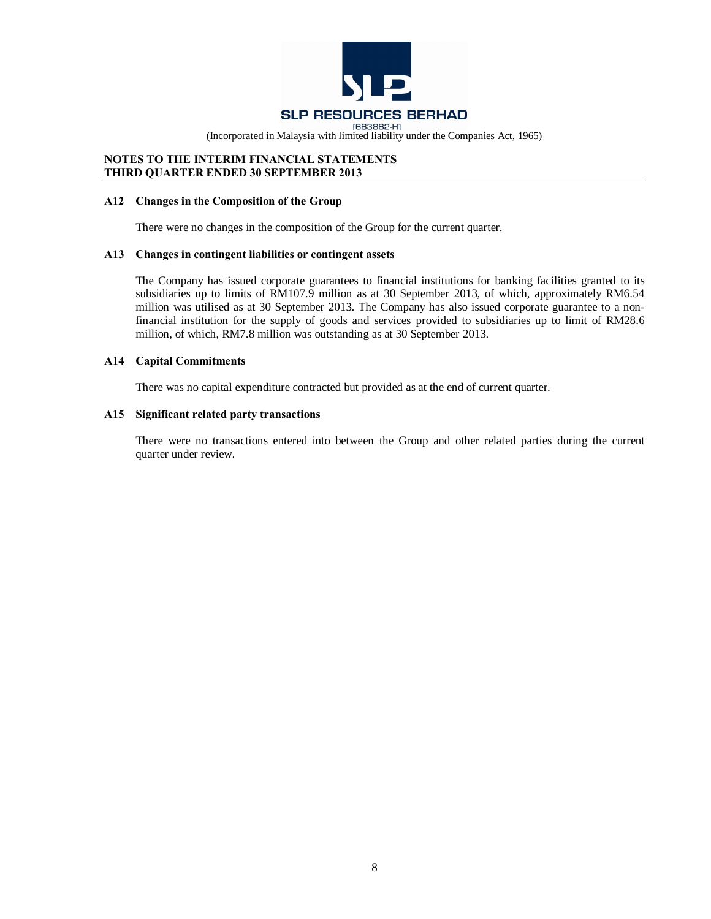![](_page_7_Picture_0.jpeg)

# **NOTES TO THE INTERIM FINANCIAL STATEMENTS THIRD QUARTER ENDED 30 SEPTEMBER 2013**

#### **A12 Changes in the Composition of the Group**

There were no changes in the composition of the Group for the current quarter.

### **A13 Changes in contingent liabilities or contingent assets**

The Company has issued corporate guarantees to financial institutions for banking facilities granted to its subsidiaries up to limits of RM107.9 million as at 30 September 2013, of which, approximately RM6.54 million was utilised as at 30 September 2013. The Company has also issued corporate guarantee to a nonfinancial institution for the supply of goods and services provided to subsidiaries up to limit of RM28.6 million, of which, RM7.8 million was outstanding as at 30 September 2013.

#### **A14 Capital Commitments**

There was no capital expenditure contracted but provided as at the end of current quarter.

#### **A15 Significant related party transactions**

There were no transactions entered into between the Group and other related parties during the current quarter under review.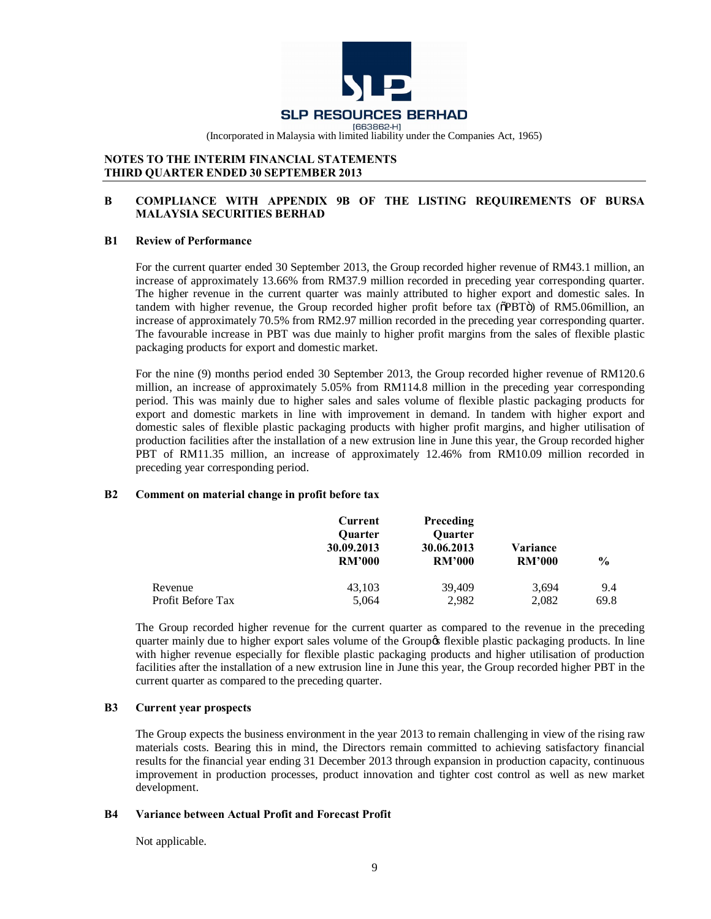![](_page_8_Picture_0.jpeg)

# **NOTES TO THE INTERIM FINANCIAL STATEMENTS THIRD QUARTER ENDED 30 SEPTEMBER 2013**

# **B COMPLIANCE WITH APPENDIX 9B OF THE LISTING REQUIREMENTS OF BURSA MALAYSIA SECURITIES BERHAD**

# **B1 Review of Performance**

For the current quarter ended 30 September 2013, the Group recorded higher revenue of RM43.1 million, an increase of approximately 13.66% from RM37.9 million recorded in preceding year corresponding quarter. The higher revenue in the current quarter was mainly attributed to higher export and domestic sales. In tandem with higher revenue, the Group recorded higher profit before tax ( $\delta$ PBT $\ddot{o}$ ) of RM5.06million, an increase of approximately 70.5% from RM2.97 million recorded in the preceding year corresponding quarter. The favourable increase in PBT was due mainly to higher profit margins from the sales of flexible plastic packaging products for export and domestic market.

For the nine (9) months period ended 30 September 2013, the Group recorded higher revenue of RM120.6 million, an increase of approximately 5.05% from RM114.8 million in the preceding year corresponding period. This was mainly due to higher sales and sales volume of flexible plastic packaging products for export and domestic markets in line with improvement in demand. In tandem with higher export and domestic sales of flexible plastic packaging products with higher profit margins, and higher utilisation of production facilities after the installation of a new extrusion line in June this year, the Group recorded higher PBT of RM11.35 million, an increase of approximately 12.46% from RM10.09 million recorded in preceding year corresponding period.

# **B2 Comment on material change in profit before tax**

|                   | Current<br><b>Quarter</b><br>30.09.2013<br><b>RM'000</b> | <b>Preceding</b><br><b>Ouarter</b><br>30.06.2013<br><b>RM'000</b> | Variance<br><b>RM'000</b> | $\frac{0}{0}$ |
|-------------------|----------------------------------------------------------|-------------------------------------------------------------------|---------------------------|---------------|
| Revenue           | 43,103                                                   | 39,409                                                            | 3,694                     | 9.4           |
| Profit Before Tax | 5,064                                                    | 2,982                                                             | 2,082                     | 69.8          |

The Group recorded higher revenue for the current quarter as compared to the revenue in the preceding quarter mainly due to higher export sales volume of the Group's flexible plastic packaging products. In line with higher revenue especially for flexible plastic packaging products and higher utilisation of production facilities after the installation of a new extrusion line in June this year, the Group recorded higher PBT in the current quarter as compared to the preceding quarter.

# **B3 Current year prospects**

The Group expects the business environment in the year 2013 to remain challenging in view of the rising raw materials costs. Bearing this in mind, the Directors remain committed to achieving satisfactory financial results for the financial year ending 31 December 2013 through expansion in production capacity, continuous improvement in production processes, product innovation and tighter cost control as well as new market development.

# **B4 Variance between Actual Profit and Forecast Profit**

Not applicable.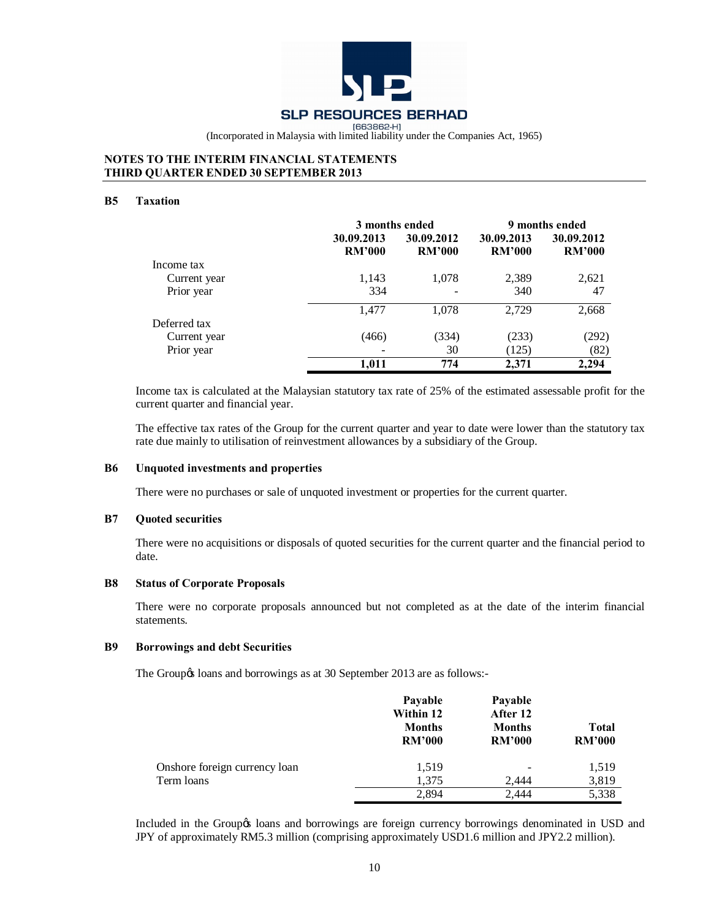![](_page_9_Picture_0.jpeg)

# **NOTES TO THE INTERIM FINANCIAL STATEMENTS THIRD QUARTER ENDED 30 SEPTEMBER 2013**

### **B5 Taxation**

|              |               | 3 months ended |               | 9 months ended |
|--------------|---------------|----------------|---------------|----------------|
|              | 30.09.2013    | 30.09.2012     | 30.09.2013    | 30.09.2012     |
|              | <b>RM'000</b> | <b>RM'000</b>  | <b>RM'000</b> | <b>RM'000</b>  |
| Income tax   |               |                |               |                |
| Current year | 1,143         | 1,078          | 2,389         | 2,621          |
| Prior year   | 334           |                | 340           | 47             |
|              | 1,477         | 1,078          | 2,729         | 2,668          |
| Deferred tax |               |                |               |                |
| Current year | (466)         | (334)          | (233)         | (292)          |
| Prior year   |               | 30             | (125)         | (82)           |
|              | 1.011         | 774            | 2.371         | 2.294          |

Income tax is calculated at the Malaysian statutory tax rate of 25% of the estimated assessable profit for the current quarter and financial year.

The effective tax rates of the Group for the current quarter and year to date were lower than the statutory tax rate due mainly to utilisation of reinvestment allowances by a subsidiary of the Group.

#### **B6 Unquoted investments and properties**

There were no purchases or sale of unquoted investment or properties for the current quarter.

#### **B7 Quoted securities**

There were no acquisitions or disposals of quoted securities for the current quarter and the financial period to date.

#### **B8 Status of Corporate Proposals**

There were no corporate proposals announced but not completed as at the date of the interim financial statements.

#### **B9 Borrowings and debt Securities**

The Group & loans and borrowings as at 30 September 2013 are as follows:-

|                               | Payable<br>Within 12<br><b>Months</b><br><b>RM'000</b> | Payable<br>After 12<br><b>Months</b><br><b>RM'000</b> | <b>Total</b><br><b>RM'000</b> |
|-------------------------------|--------------------------------------------------------|-------------------------------------------------------|-------------------------------|
| Onshore foreign currency loan | 1,519                                                  | $\qquad \qquad \blacksquare$                          | 1,519                         |
| Term loans                    | 1,375                                                  | 2.444                                                 | 3,819                         |
|                               | 2.894                                                  | 2.444                                                 | 5,338                         |

Included in the Groupos loans and borrowings are foreign currency borrowings denominated in USD and JPY of approximately RM5.3 million (comprising approximately USD1.6 million and JPY2.2 million).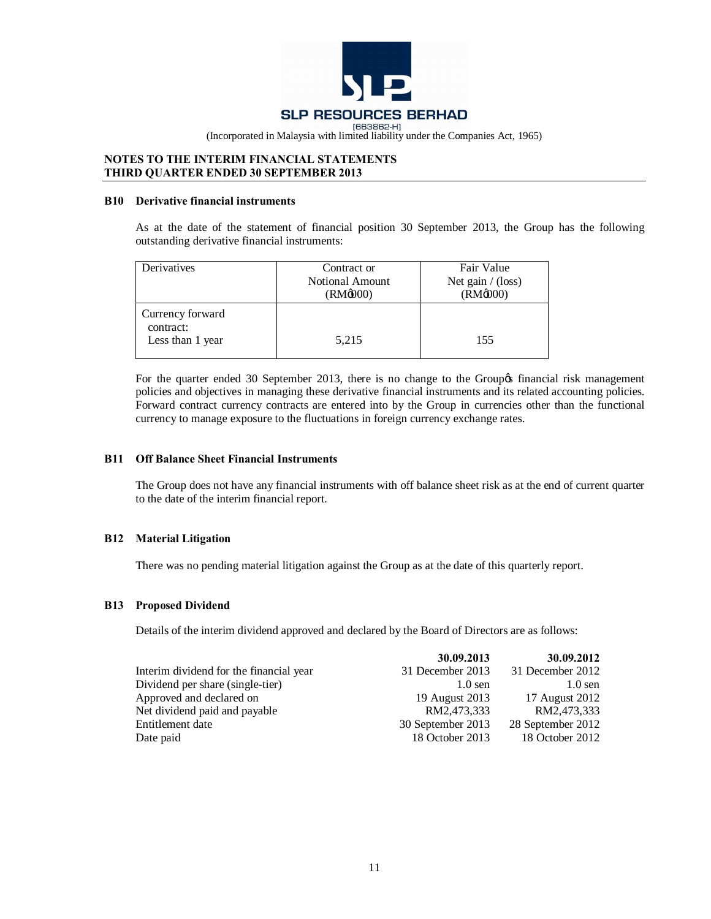![](_page_10_Picture_0.jpeg)

# **NOTES TO THE INTERIM FINANCIAL STATEMENTS THIRD QUARTER ENDED 30 SEPTEMBER 2013**

#### **B10 Derivative financial instruments**

As at the date of the statement of financial position 30 September 2013, the Group has the following outstanding derivative financial instruments:

| Derivatives                                       | Contract or<br><b>Notional Amount</b><br>(RM@00) | Fair Value<br>Net gain $/$ (loss)<br>$(RM\omega$ <sub>000</sub> ) |
|---------------------------------------------------|--------------------------------------------------|-------------------------------------------------------------------|
| Currency forward<br>contract:<br>Less than 1 year | 5,215                                            | 155                                                               |

For the quarter ended 30 September 2013, there is no change to the Group of financial risk management policies and objectives in managing these derivative financial instruments and its related accounting policies. Forward contract currency contracts are entered into by the Group in currencies other than the functional currency to manage exposure to the fluctuations in foreign currency exchange rates.

### **B11 Off Balance Sheet Financial Instruments**

The Group does not have any financial instruments with off balance sheet risk as at the end of current quarter to the date of the interim financial report.

# **B12 Material Litigation**

There was no pending material litigation against the Group as at the date of this quarterly report.

# **B13 Proposed Dividend**

Details of the interim dividend approved and declared by the Board of Directors are as follows:

|                                         | 30.09.2013        | 30.09.2012        |
|-----------------------------------------|-------------------|-------------------|
| Interim dividend for the financial year | 31 December 2013  | 31 December 2012  |
| Dividend per share (single-tier)        | $1.0$ sen         | $1.0$ sen         |
| Approved and declared on                | 19 August 2013    | 17 August 2012    |
| Net dividend paid and payable           | RM2,473,333       | RM2,473,333       |
| Entitlement date                        | 30 September 2013 | 28 September 2012 |
| Date paid                               | 18 October 2013   | 18 October 2012   |
|                                         |                   |                   |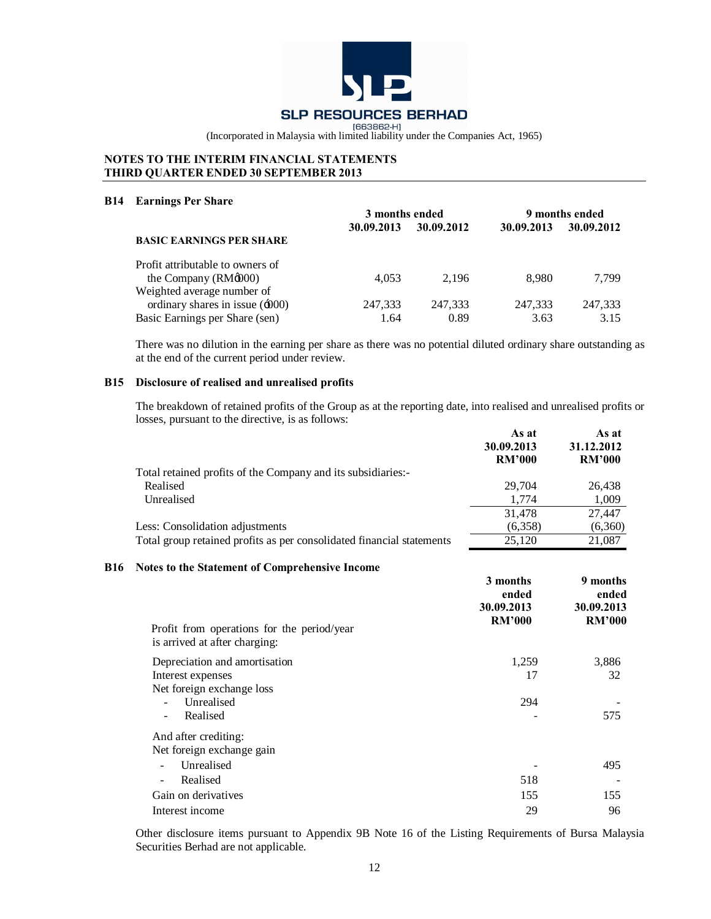![](_page_11_Picture_0.jpeg)

# **NOTES TO THE INTERIM FINANCIAL STATEMENTS THIRD QUARTER ENDED 30 SEPTEMBER 2013**

#### **B14 Earnings Per Share**

|                                       | 3 months ended |            | 9 months ended |            |
|---------------------------------------|----------------|------------|----------------|------------|
|                                       | 30.09.2013     | 30.09.2012 | 30.09.2013     | 30.09.2012 |
| <b>BASIC EARNINGS PER SHARE</b>       |                |            |                |            |
| Profit attributable to owners of      |                |            |                |            |
| the Company $(RM\phi 000)$            | 4.053          | 2.196      | 8.980          | 7.799      |
| Weighted average number of            |                |            |                |            |
| ordinary shares in issue $(\div 000)$ | 247,333        | 247,333    | 247,333        | 247,333    |
| Basic Earnings per Share (sen)        | 1.64           | 0.89       | 3.63           | 3.15       |

There was no dilution in the earning per share as there was no potential diluted ordinary share outstanding as at the end of the current period under review.

# **B15 Disclosure of realised and unrealised profits**

The breakdown of retained profits of the Group as at the reporting date, into realised and unrealised profits or losses, pursuant to the directive, is as follows: **As at** 

|                                                                       | As at<br>30.09.2013 | As at<br>31.12.2012 |
|-----------------------------------------------------------------------|---------------------|---------------------|
|                                                                       | <b>RM'000</b>       | <b>RM'000</b>       |
| Total retained profits of the Company and its subsidiaries:-          |                     |                     |
| Realised                                                              | 29.704              | 26,438              |
| Unrealised                                                            | 1.774               | 1,009               |
|                                                                       | 31.478              | 27.447              |
| Less: Consolidation adjustments                                       | (6,358)             | (6,360)             |
| Total group retained profits as per consolidated financial statements | 25.120              | 21.087              |

# **B16 Notes to the Statement of Comprehensive Income**

| Profit from operations for the period/year<br>is arrived at after charging: | 3 months<br>ended<br>30.09.2013<br><b>RM'000</b> | 9 months<br>ended<br>30.09.2013<br><b>RM'000</b> |
|-----------------------------------------------------------------------------|--------------------------------------------------|--------------------------------------------------|
| Depreciation and amortisation                                               | 1,259                                            | 3,886                                            |
| Interest expenses                                                           | 17                                               | 32                                               |
| Net foreign exchange loss                                                   |                                                  |                                                  |
| Unrealised                                                                  | 294                                              |                                                  |
| Realised<br>۰                                                               |                                                  | 575                                              |
| And after crediting:                                                        |                                                  |                                                  |
| Net foreign exchange gain                                                   |                                                  |                                                  |
| Unrealised                                                                  |                                                  | 495                                              |
| Realised                                                                    | 518                                              |                                                  |
| Gain on derivatives                                                         | 155                                              | 155                                              |
| Interest income                                                             | 29                                               | 96                                               |

Other disclosure items pursuant to Appendix 9B Note 16 of the Listing Requirements of Bursa Malaysia Securities Berhad are not applicable.